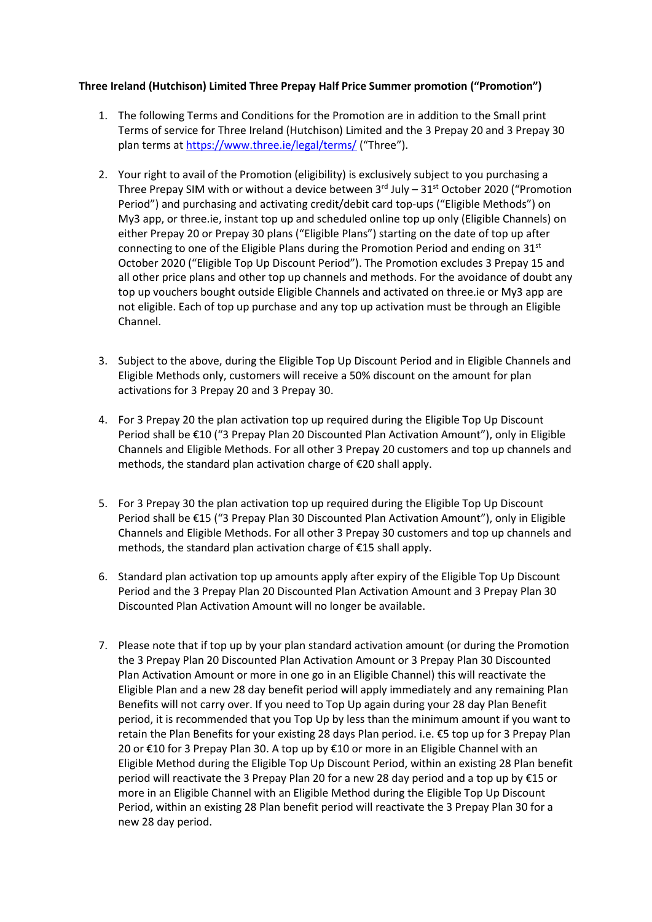## **Three Ireland (Hutchison) Limited Three Prepay Half Price Summer promotion ("Promotion")**

- 1. The following Terms and Conditions for the Promotion are in addition to the Small print Terms of service for Three Ireland (Hutchison) Limited and the 3 Prepay 20 and 3 Prepay 30 plan terms at<https://www.three.ie/legal/terms/> ("Three").
- 2. Your right to avail of the Promotion (eligibility) is exclusively subject to you purchasing a Three Prepay SIM with or without a device between  $3^{rd}$  July  $-31^{st}$  October 2020 ("Promotion Period") and purchasing and activating credit/debit card top-ups ("Eligible Methods") on My3 app, or three.ie, instant top up and scheduled online top up only (Eligible Channels) on either Prepay 20 or Prepay 30 plans ("Eligible Plans") starting on the date of top up after connecting to one of the Eligible Plans during the Promotion Period and ending on  $31<sup>st</sup>$ October 2020 ("Eligible Top Up Discount Period"). The Promotion excludes 3 Prepay 15 and all other price plans and other top up channels and methods. For the avoidance of doubt any top up vouchers bought outside Eligible Channels and activated on three.ie or My3 app are not eligible. Each of top up purchase and any top up activation must be through an Eligible Channel.
- 3. Subject to the above, during the Eligible Top Up Discount Period and in Eligible Channels and Eligible Methods only, customers will receive a 50% discount on the amount for plan activations for 3 Prepay 20 and 3 Prepay 30.
- 4. For 3 Prepay 20 the plan activation top up required during the Eligible Top Up Discount Period shall be €10 ("3 Prepay Plan 20 Discounted Plan Activation Amount"), only in Eligible Channels and Eligible Methods. For all other 3 Prepay 20 customers and top up channels and methods, the standard plan activation charge of €20 shall apply.
- 5. For 3 Prepay 30 the plan activation top up required during the Eligible Top Up Discount Period shall be €15 ("3 Prepay Plan 30 Discounted Plan Activation Amount"), only in Eligible Channels and Eligible Methods. For all other 3 Prepay 30 customers and top up channels and methods, the standard plan activation charge of €15 shall apply.
- 6. Standard plan activation top up amounts apply after expiry of the Eligible Top Up Discount Period and the 3 Prepay Plan 20 Discounted Plan Activation Amount and 3 Prepay Plan 30 Discounted Plan Activation Amount will no longer be available.
- 7. Please note that if top up by your plan standard activation amount (or during the Promotion the 3 Prepay Plan 20 Discounted Plan Activation Amount or 3 Prepay Plan 30 Discounted Plan Activation Amount or more in one go in an Eligible Channel) this will reactivate the Eligible Plan and a new 28 day benefit period will apply immediately and any remaining Plan Benefits will not carry over. If you need to Top Up again during your 28 day Plan Benefit period, it is recommended that you Top Up by less than the minimum amount if you want to retain the Plan Benefits for your existing 28 days Plan period. i.e. €5 top up for 3 Prepay Plan 20 or €10 for 3 Prepay Plan 30. A top up by €10 or more in an Eligible Channel with an Eligible Method during the Eligible Top Up Discount Period, within an existing 28 Plan benefit period will reactivate the 3 Prepay Plan 20 for a new 28 day period and a top up by €15 or more in an Eligible Channel with an Eligible Method during the Eligible Top Up Discount Period, within an existing 28 Plan benefit period will reactivate the 3 Prepay Plan 30 for a new 28 day period.